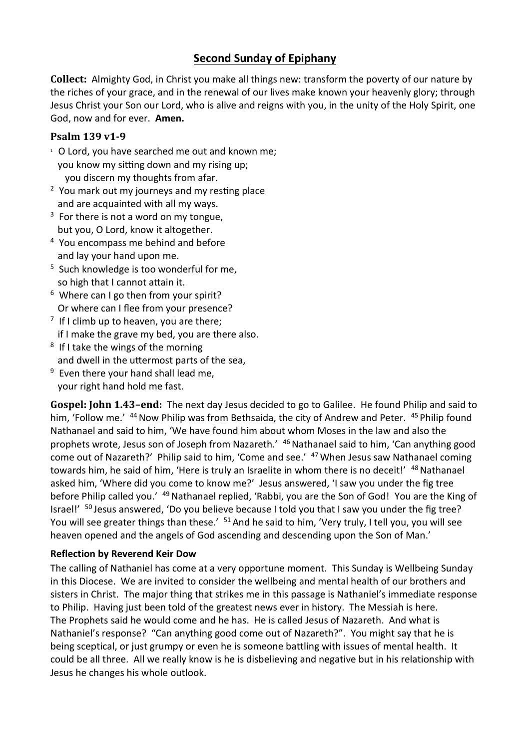## **Second Sunday of Epiphany**

**Collect:** Almighty God, in Christ you make all things new: transform the poverty of our nature by the riches of your grace, and in the renewal of our lives make known your heavenly glory; through Jesus Christ your Son our Lord, who is alive and reigns with you, in the unity of the Holy Spirit, one God, now and for ever. **Amen.**

## **Psalm 139 v1-9**

- <sup>1</sup> O Lord, you have searched me out and known me; you know my sitting down and my rising up; you discern my thoughts from afar.
- <sup>2</sup> You mark out my journeys and my resting place and are acquainted with all my ways.
- $3$  For there is not a word on my tongue, but you, O Lord, know it altogether.
- <sup>4</sup> You encompass me behind and before and lay your hand upon me.
- <sup>5</sup> Such knowledge is too wonderful for me, so high that I cannot attain it.
- 6 Where can I go then from your spirit? Or where can I flee from your presence?
- $7$  If I climb up to heaven, you are there; if I make the grave my bed, you are there also.
- <sup>8</sup> If I take the wings of the morning and dwell in the uttermost parts of the sea,
- <sup>9</sup> Even there your hand shall lead me, your right hand hold me fast.

**Gospel: John 1.43–end:** The next day Jesus decided to go to Galilee. He found Philip and said to him, 'Follow me.' <sup>44</sup> Now Philip was from Bethsaida, the city of Andrew and Peter. <sup>45</sup> Philip found Nathanael and said to him, 'We have found him about whom Moses in the law and also the prophets wrote, Jesus son of Joseph from Nazareth.' 46 Nathanael said to him, 'Can anything good come out of Nazareth?' Philip said to him, 'Come and see.' <sup>47</sup> When Jesus saw Nathanael coming towards him, he said of him, 'Here is truly an Israelite in whom there is no deceit!' <sup>48</sup> Nathanael asked him, 'Where did you come to know me?' Jesus answered, 'I saw you under the fig tree before Philip called you.' <sup>49</sup> Nathanael replied, 'Rabbi, you are the Son of God! You are the King of Israel!'  $50$  Jesus answered, 'Do you believe because I told you that I saw you under the fig tree? You will see greater things than these.' <sup>51</sup> And he said to him, 'Very truly, I tell you, you will see heaven opened and the angels of God ascending and descending upon the Son of Man.'

## **Reflection by Reverend Keir Dow**

The calling of Nathaniel has come at a very opportune moment. This Sunday is Wellbeing Sunday in this Diocese. We are invited to consider the wellbeing and mental health of our brothers and sisters in Christ. The major thing that strikes me in this passage is Nathaniel's immediate response to Philip. Having just been told of the greatest news ever in history. The Messiah is here. The Prophets said he would come and he has. He is called Jesus of Nazareth. And what is Nathaniel's response? "Can anything good come out of Nazareth?". You might say that he is being sceptical, or just grumpy or even he is someone battling with issues of mental health. It could be all three. All we really know is he is disbelieving and negative but in his relationship with Jesus he changes his whole outlook.